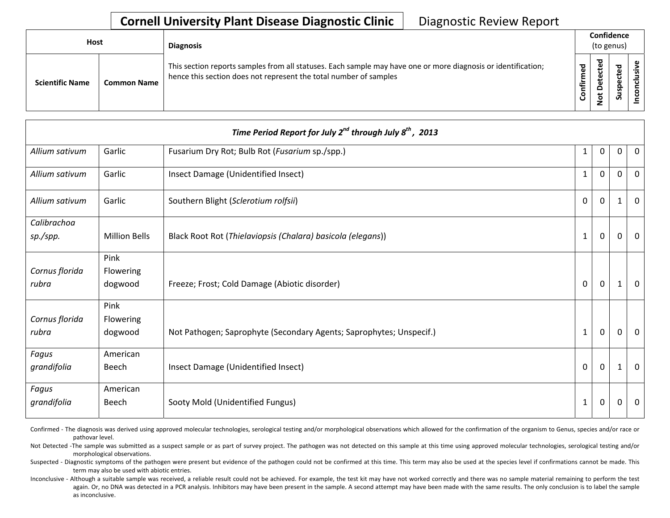## **Cornell University Plant Disease Diagnostic Clinic** | Diagnostic Review Report

| <b>Host</b>            |                    | <b>Diagnosis</b>                                                                                                                                                                   |                | Confidence<br>(to genus) |                     |  |
|------------------------|--------------------|------------------------------------------------------------------------------------------------------------------------------------------------------------------------------------|----------------|--------------------------|---------------------|--|
| <b>Scientific Name</b> | <b>Common Name</b> | This section reports samples from all statuses. Each sample may have one or more diagnosis or identification;<br>hence this section does not represent the total number of samples | ဥ<br>Ě<br>nfir | ठ<br>⊷<br>پ<br>۰<br>–    | ठ<br>-<br>ဒ္ဓ<br>ഄഁ |  |

|                |                      | Time Period Report for July 2 <sup>nd</sup> through July 8 <sup>th</sup> , 2013 |                |             |              |                |
|----------------|----------------------|---------------------------------------------------------------------------------|----------------|-------------|--------------|----------------|
| Allium sativum | Garlic               | Fusarium Dry Rot; Bulb Rot (Fusarium sp./spp.)                                  | $\mathbf{1}$   | $\Omega$    | $\mathbf{0}$ | $\overline{0}$ |
| Allium sativum | Garlic               | Insect Damage (Unidentified Insect)                                             | $\mathbf{1}$   | $\Omega$    | 0            | $\mathbf 0$    |
| Allium sativum | Garlic               | Southern Blight (Sclerotium rolfsii)                                            | $\overline{0}$ | $\Omega$    |              | $\Omega$       |
| Calibrachoa    |                      |                                                                                 |                |             |              |                |
| sp./spp.       | <b>Million Bells</b> | Black Root Rot (Thielaviopsis (Chalara) basicola (elegans))                     | $\mathbf{1}$   | $\mathbf 0$ | $\Omega$     | $\overline{0}$ |
|                | Pink                 |                                                                                 |                |             |              |                |
| Cornus florida | Flowering            |                                                                                 |                |             |              |                |
| rubra          | dogwood              | Freeze; Frost; Cold Damage (Abiotic disorder)                                   | $\mathbf 0$    | $\mathbf 0$ | 1            | $\overline{0}$ |
|                | Pink                 |                                                                                 |                |             |              |                |
| Cornus florida | Flowering            |                                                                                 |                |             |              |                |
| rubra          | dogwood              | Not Pathogen; Saprophyte (Secondary Agents; Saprophytes; Unspecif.)             | $\mathbf{1}$   | 0           | 0            | $\overline{0}$ |
| Fagus          | American             |                                                                                 |                |             |              |                |
| grandifolia    | Beech                | Insect Damage (Unidentified Insect)                                             | $\mathbf 0$    | $\mathbf 0$ | 1            | $\overline{0}$ |
| Fagus          | American             |                                                                                 |                |             |              |                |
| grandifolia    | Beech                | Sooty Mold (Unidentified Fungus)                                                | 1              | 0           | 0            | $\mathbf 0$    |

Confirmed - The diagnosis was derived using approved molecular technologies, serological testing and/or morphological observations which allowed for the confirmation of the organism to Genus, species and/or race or pathovar level.

Not Detected -The sample was submitted as a suspect sample or as part of survey project. The pathogen was not detected on this sample at this time using approved molecular technologies, serological testing and/or morphological observations.

Suspected - Diagnostic symptoms of the pathogen were present but evidence of the pathogen could not be confirmed at this time. This term may also be used at the species level if confirmations cannot be made. This term may also be used with abiotic entries.

Inconclusive - Although a suitable sample was received, a reliable result could not be achieved. For example, the test kit may have not worked correctly and there was no sample material remaining to perform the test again. Or, no DNA was detected in a PCR analysis. Inhibitors may have been present in the sample. A second attempt may have been made with the same results. The only conclusion is to label the sample as inconclusive.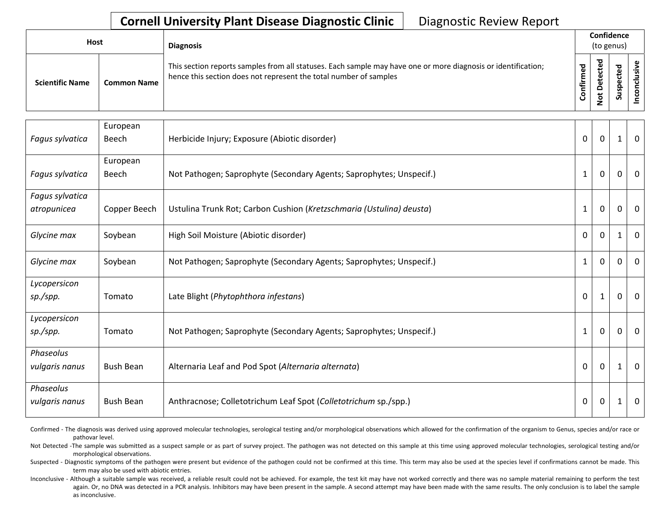## **Cornell University Plant Disease Diagnostic Clinic** | Diagnostic Review Report

| <b>Host</b>            |                    | <b>Diagnosis</b>                                                                                                                                                                   |              |                    | Confidence<br>(to genus) |    |
|------------------------|--------------------|------------------------------------------------------------------------------------------------------------------------------------------------------------------------------------|--------------|--------------------|--------------------------|----|
| <b>Scientific Name</b> | <b>Common Name</b> | This section reports samples from all statuses. Each sample may have one or more diagnosis or identification;<br>hence this section does not represent the total number of samples | med<br>onfir | ठ<br>ይ<br><u>۽</u> | ൦<br>S                   | ._ |

|                 | European         |                                                                      |                |              |              |                |
|-----------------|------------------|----------------------------------------------------------------------|----------------|--------------|--------------|----------------|
| Fagus sylvatica | Beech            | Herbicide Injury; Exposure (Abiotic disorder)                        | $\mathbf 0$    | 0            | 1            | $\mathbf 0$    |
|                 | European         |                                                                      |                |              |              |                |
| Fagus sylvatica | Beech            | Not Pathogen; Saprophyte (Secondary Agents; Saprophytes; Unspecif.)  | $\mathbf{1}$   | $\mathbf 0$  | $\Omega$     | $\mathbf 0$    |
| Fagus sylvatica |                  |                                                                      |                |              |              |                |
| atropunicea     | Copper Beech     | Ustulina Trunk Rot; Carbon Cushion (Kretzschmaria (Ustulina) deusta) | $\mathbf{1}$   | $\mathbf 0$  | $\Omega$     | $\mathbf 0$    |
| Glycine max     | Soybean          | High Soil Moisture (Abiotic disorder)                                | $\Omega$       | $\mathbf{0}$ | $\mathbf{1}$ | $\overline{0}$ |
| Glycine max     | Soybean          | Not Pathogen; Saprophyte (Secondary Agents; Saprophytes; Unspecif.)  | $\mathbf{1}$   | $\Omega$     | $\Omega$     | $\overline{0}$ |
| Lycopersicon    |                  |                                                                      |                |              |              |                |
| sp./spp.        | Tomato           | Late Blight (Phytophthora infestans)                                 | $\overline{0}$ | $\mathbf{1}$ | $\mathbf{0}$ | $\mathbf{0}$   |
| Lycopersicon    |                  |                                                                      |                |              |              |                |
| sp./spp.        | Tomato           | Not Pathogen; Saprophyte (Secondary Agents; Saprophytes; Unspecif.)  | $\mathbf{1}$   | $\mathbf 0$  | $\Omega$     | $\overline{0}$ |
| Phaseolus       |                  |                                                                      |                |              |              |                |
| vulgaris nanus  | <b>Bush Bean</b> | Alternaria Leaf and Pod Spot (Alternaria alternata)                  | $\mathbf 0$    | $\mathbf 0$  | 1            | $\overline{0}$ |
| Phaseolus       |                  |                                                                      |                |              |              |                |
| vulgaris nanus  | <b>Bush Bean</b> | Anthracnose; Colletotrichum Leaf Spot (Colletotrichum sp./spp.)      | 0              | $\mathbf 0$  | 1            | $\mathbf 0$    |

Confirmed - The diagnosis was derived using approved molecular technologies, serological testing and/or morphological observations which allowed for the confirmation of the organism to Genus, species and/or race or pathovar level.

Not Detected -The sample was submitted as a suspect sample or as part of survey project. The pathogen was not detected on this sample at this time using approved molecular technologies, serological testing and/or morphological observations.

Suspected - Diagnostic symptoms of the pathogen were present but evidence of the pathogen could not be confirmed at this time. This term may also be used at the species level if confirmations cannot be made. This term may also be used with abiotic entries.

Inconclusive - Although a suitable sample was received, a reliable result could not be achieved. For example, the test kit may have not worked correctly and there was no sample material remaining to perform the test again. Or, no DNA was detected in a PCR analysis. Inhibitors may have been present in the sample. A second attempt may have been made with the same results. The only conclusion is to label the sample as inconclusive.